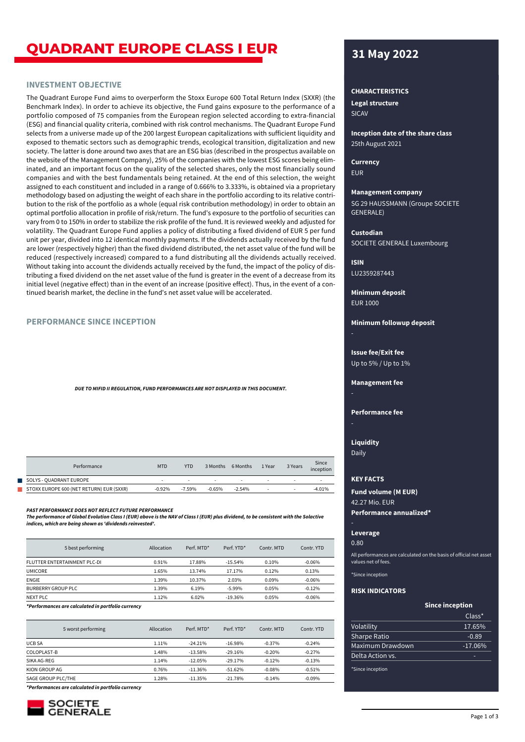# **QUADRANT EUROPE CLASS I EUR 31 May 2022**

## **INVESTMENT OBJECTIVE**

The Quadrant Europe Fund aims to overperform the Stoxx Europe 600 Total Return Index (SXXR) (the Benchmark Index). In order to achieve its objective, the Fund gains exposure to the performance of a portfolio composed of 75 companies from the European region selected according to extra-financial (ESG) and financial quality criteria, combined with risk control mechanisms. The Quadrant Europe Fund selects from a universe made up of the 200 largest European capitalizations with sufficient liquidity and exposed to thematic sectors such as demographic trends, ecological transition, digitalization and new society. The latter is done around two axes that are an ESG bias (described in the prospectus available on the website of the Management Company), 25% of the companies with the lowest ESG scores being eliminated, and an important focus on the quality of the selected shares, only the most financially sound companies and with the best fundamentals being retained. At the end of this selection, the weight assigned to each constituent and included in a range of 0.666% to 3.333%, is obtained via a proprietary methodology based on adjusting the weight of each share in the portfolio according to its relative contribution to the risk of the portfolio as a whole (equal risk contribution methodology) in order to obtain an optimal portfolio allocation in profile of risk/return. The fund's exposure to the portfolio of securities can vary from 0 to 150% in order to stabilize the risk profile of the fund. It is reviewed weekly and adjusted for volatility. The Quadrant Europe Fund applies a policy of distributing a fixed dividend of EUR 5 per fund unit per year, divided into 12 identical monthly payments. If the dividends actually received by the fund are lower (respectively higher) than the fixed dividend distributed, the net asset value of the fund will be reduced (respectively increased) compared to a fund distributing all the dividends actually received. Without taking into account the dividends actually received by the fund, the impact of the policy of distributing a fixed dividend on the net asset value of the fund is greater in the event of a decrease from its initial level (negative effect) than in the event of an increase (positive effect). Thus, in the event of a continued bearish market, the decline in the fund's net asset value will be accelerated.

## **PERFORMANCE SINCE INCEPTION**

*DUE TO MIFID II REGULATION, FUND PERFORMANCES ARE NOT DISPLAYED IN THIS DOCUMENT.*

| Performance                              | <b>MTD</b> | <b>YTD</b> | 3 Months | 6 Months | 1 Year | 3 Years | Since<br>inception |
|------------------------------------------|------------|------------|----------|----------|--------|---------|--------------------|
| SOLYS - QUADRANT EUROPE                  |            |            |          |          |        |         |                    |
| STOXX EUROPE 600 (NET RETURN) EUR (SXXR) | $-0.92%$   | $-7.59\%$  | $-0.65%$ | $-2.54%$ | $\sim$ | ۰       | $-4.01%$           |

*PAST PERFORMANCE DOES NOT REFLECT FUTURE PERFORMANCE*

*The performance of Global Evolution Class I (EUR) above is the NAV of Class I (EUR) plus dividend, to be consistent with the Solactive indices, which are being shown as 'dividends reinvested'.*

| 5 best performing            | Allocation | Perf. MTD* | Perf. YTD* | Contr. MTD | Contr. YTD |
|------------------------------|------------|------------|------------|------------|------------|
| FLUTTER ENTERTAINMENT PLC-DL | 0.91%      | 17.88%     | $-15.54%$  | 0.10%      | $-0.06%$   |
| <b>UMICORE</b>               | 1.65%      | 13.74%     | 17.17%     | 0.12%      | 0.13%      |
| <b>ENGIE</b>                 | 1.39%      | 10.37%     | 2.03%      | 0.09%      | $-0.06%$   |
| BURBERRY GROUP PLC.          | 1.39%      | 6.19%      | $-5.99%$   | 0.05%      | $-0.12%$   |
| NEXT PLC.                    | 1.12%      | 6.02%      | $-19.36%$  | 0.05%      | $-0.06%$   |

*\*Performances are calculated in portfolio currency*

| 5 worst performing | Allocation | Perf. MTD* | Perf. YTD* | Contr. MTD | Contr. YTD |
|--------------------|------------|------------|------------|------------|------------|
| <b>UCB SA</b>      | 1.11%      | $-24.21%$  | $-16.98%$  | $-0.37%$   | $-0.24%$   |
| COLOPLAST-B        | 1.48%      | $-13.58%$  | $-29.16%$  | $-0.20%$   | $-0.27%$   |
| SIKA AG-REG        | 1.14%      | $-12.05%$  | $-29.17%$  | $-0.12%$   | $-0.13%$   |
| KION GROUP AG      | 0.76%      | $-11.36%$  | $-51.62%$  | $-0.08%$   | $-0.51%$   |
| SAGE GROUP PLC/THE | 1.28%      | $-11.35%$  | $-21.78%$  | $-0.14%$   | $-0.09%$   |

*\*Performances are calculated in portfolio currency*



### **CHARACTERISTICS**

SICAV **Legal structure**

25th August 2021 **Inception date of the share class**

EUR **Currency**

### **Management company**

SG 29 HAUSSMANN (Groupe SOCIETE GENERALE)

### **Custodian**

SOCIETE GENERALE Luxembourg

LU2359287443 **ISIN**

EUR 1000 **Minimum deposit**

**Minimum followup deposit**

Up to 5% / Up to 1% **Issue fee/Exit fee**

### **Management fee**

## **Performance fee**

**Liquidity**

Daily

# **KEY FACTS**

42.27 Mio. EUR **Fund volume (M EUR)**

#### **Performance annualized\***

**Leverage**

0.80

All performances are calculated on the basis of official net asset values net of fees.

\*Since inception

#### **RISK INDICATORS**

#### **Since inception**

|                  | $Class^*$ |
|------------------|-----------|
| Volatility       | 17.65%    |
| Sharpe Ratio     | $-0.89$   |
| Maximum Drawdown | $-17.06%$ |
| Delta Action vs. |           |

\*Since inception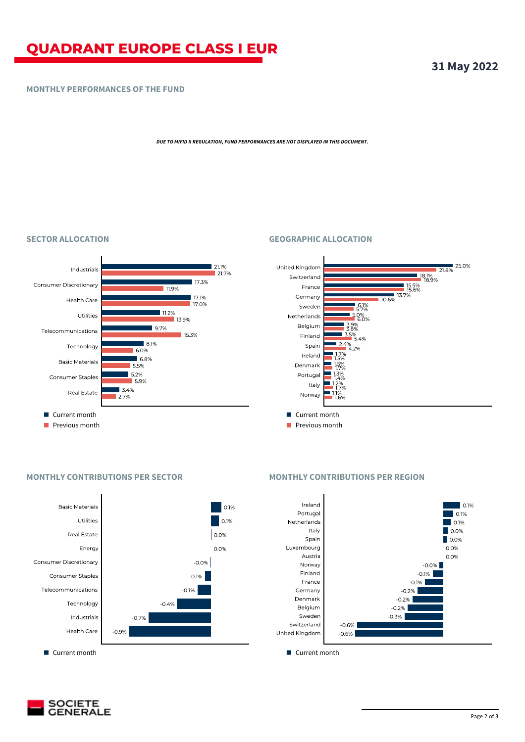# **QUADRANT EUROPE CLASS I EUR**

# **MONTHLY PERFORMANCES OF THE FUND**

*DUE TO MIFID II REGULATION, FUND PERFORMANCES ARE NOT DISPLAYED IN THIS DOCUMENT.*

# **SECTOR ALLOCATION GEOGRAPHIC ALLOCATION**





# **MONTHLY CONTRIBUTIONS PER SECTOR MONTHLY CONTRIBUTIONS PER REGION**





**31 May 2022**